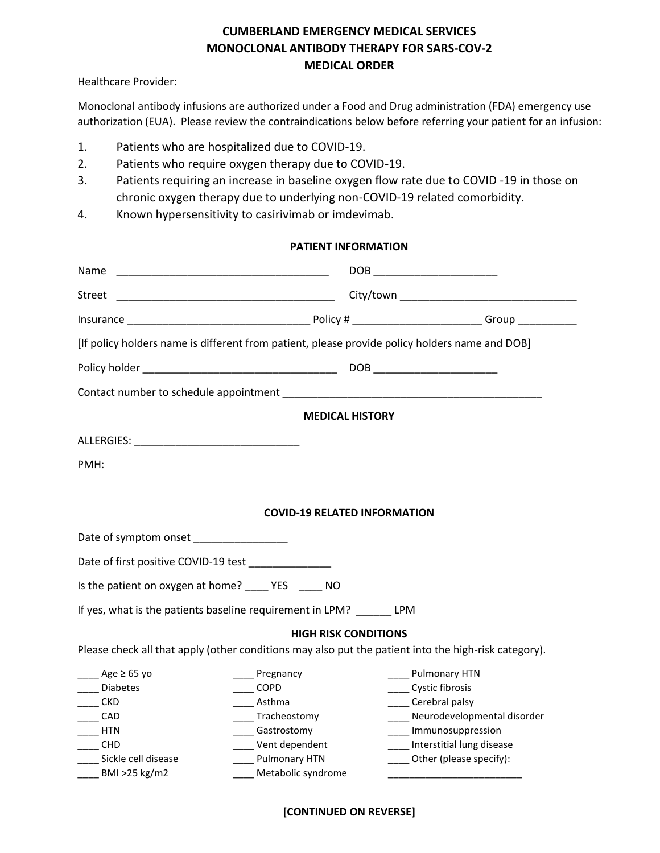# **CUMBERLAND EMERGENCY MEDICAL SERVICES MONOCLONAL ANTIBODY THERAPY FOR SARS-COV-2 MEDICAL ORDER**

Healthcare Provider:

Monoclonal antibody infusions are authorized under a Food and Drug administration (FDA) emergency use authorization (EUA). Please review the contraindications below before referring your patient for an infusion:

- 1. Patients who are hospitalized due to COVID-19.
- 2. Patients who require oxygen therapy due to COVID-19.
- 3. Patients requiring an increase in baseline oxygen flow rate due to COVID -19 in those on chronic oxygen therapy due to underlying non-COVID-19 related comorbidity.
- 4. Known hypersensitivity to casirivimab or imdevimab.

## **PATIENT INFORMATION**

| Name                                                                                           |                    | DOB _________________________                                                                        |  |
|------------------------------------------------------------------------------------------------|--------------------|------------------------------------------------------------------------------------------------------|--|
| Street                                                                                         |                    |                                                                                                      |  |
|                                                                                                |                    |                                                                                                      |  |
| [If policy holders name is different from patient, please provide policy holders name and DOB] |                    |                                                                                                      |  |
|                                                                                                |                    |                                                                                                      |  |
|                                                                                                |                    |                                                                                                      |  |
| <b>MEDICAL HISTORY</b>                                                                         |                    |                                                                                                      |  |
|                                                                                                |                    |                                                                                                      |  |
| PMH:                                                                                           |                    |                                                                                                      |  |
|                                                                                                |                    |                                                                                                      |  |
| <b>COVID-19 RELATED INFORMATION</b>                                                            |                    |                                                                                                      |  |
| Date of symptom onset _________________                                                        |                    |                                                                                                      |  |
| Date of first positive COVID-19 test                                                           |                    |                                                                                                      |  |
| Is the patient on oxygen at home? _______ YES _______ NO                                       |                    |                                                                                                      |  |
| If yes, what is the patients baseline requirement in LPM? LPM                                  |                    |                                                                                                      |  |
| <b>HIGH RISK CONDITIONS</b>                                                                    |                    |                                                                                                      |  |
|                                                                                                |                    | Please check all that apply (other conditions may also put the patient into the high-risk category). |  |
| $\text{Age} ≥ 65$ yo                                                                           | Pregnancy          | Pulmonary HTN                                                                                        |  |
| <b>Diabetes</b>                                                                                | $\sqrt{COPD}$      | _____ Cystic fibrosis                                                                                |  |
| <b>CKD</b>                                                                                     | Asthma             | Cerebral palsy                                                                                       |  |
| CAD                                                                                            | Tracheostomy       | Neurodevelopmental disorder                                                                          |  |
| <b>HTN</b>                                                                                     | Gastrostomy        | ____ Immunosuppression                                                                               |  |
| <b>CHD</b>                                                                                     | Vent dependent     | ___ Interstitial lung disease                                                                        |  |
| Sickle cell disease                                                                            | Pulmonary HTN      | Other (please specify):                                                                              |  |
| BMI >25 kg/m2                                                                                  | Metabolic syndrome |                                                                                                      |  |

# **[CONTINUED ON REVERSE]**